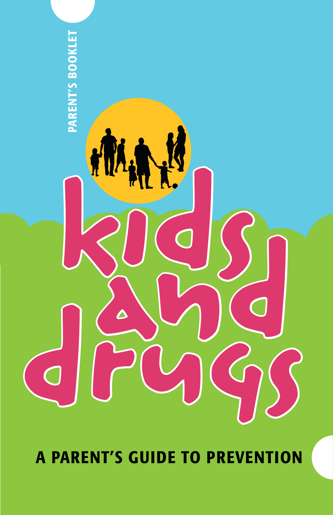

A parent's guide to prevention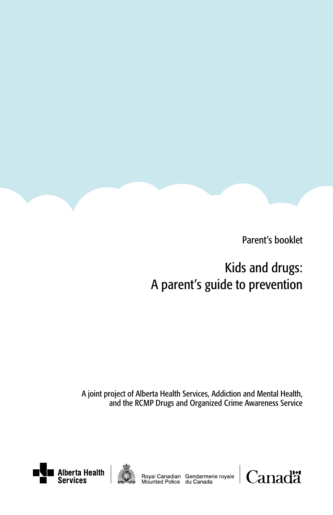

Parent's booklet

# Kids and drugs: A parent's guide to prevention

A joint project of Alberta Health Services, Addiction and Mental Health, and the RCMP Drugs and Organized Crime Awareness Service





Royal Canadian Gendarmerie royale<br>Mounted Police du Canada

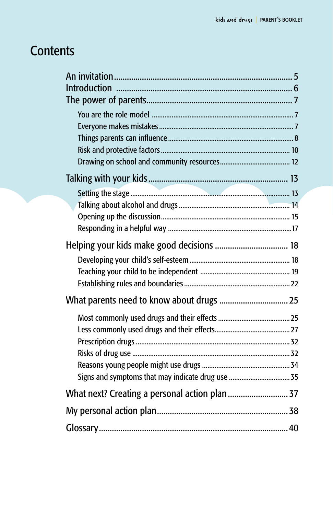# **Contents**

| Helping your kids make good decisions  18      |
|------------------------------------------------|
|                                                |
|                                                |
|                                                |
|                                                |
|                                                |
|                                                |
|                                                |
|                                                |
|                                                |
|                                                |
| What next? Creating a personal action plan  37 |
|                                                |
|                                                |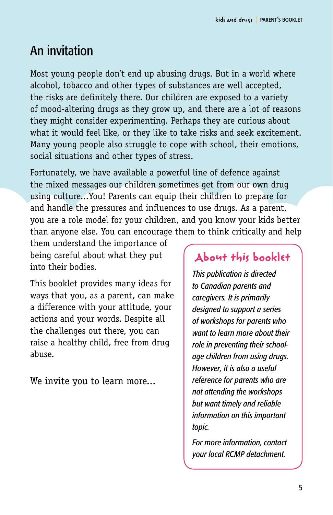# An invitation

Most young people don't end up abusing drugs. But in a world where alcohol, tobacco and other types of substances are well accepted, the risks are definitely there. Our children are exposed to a variety of mood-altering drugs as they grow up, and there are a lot of reasons they might consider experimenting. Perhaps they are curious about what it would feel like, or they like to take risks and seek excitement. Many young people also struggle to cope with school, their emotions, social situations and other types of stress.

Fortunately, we have available a powerful line of defence against the mixed messages our children sometimes get from our own drug using culture...You! Parents can equip their children to prepare for and handle the pressures and influences to use drugs. As a parent, you are a role model for your children, and you know your kids better than anyone else. You can encourage them to think critically and help

them understand the importance of being careful about what they put into their bodies.

This booklet provides many ideas for ways that you, as a parent, can make a difference with your attitude, your actions and your words. Despite all the challenges out there, you can raise a healthy child, free from drug abuse.

We invite you to learn more...

# **About this booklet**

*This publication is directed to Canadian parents and caregivers. It is primarily designed to support a series of workshops for parents who want to learn more about their role in preventing their schoolage children from using drugs. However, it is also a useful reference for parents who are not attending the workshops but want timely and reliable information on this important topic.*

*For more information, contact your local RCMP detachment.*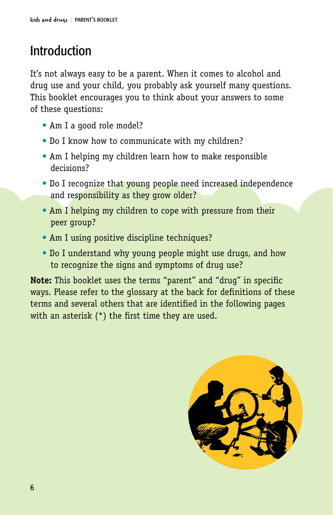# Introduction

It's not always easy to be a parent. When it comes to alcohol and drug use and your child, you probably ask yourself many questions. This booklet encourages you to think about your answers to some of these questions:

- Am I a good role model?
- Do I know how to communicate with my children?
- Am I helping my children learn how to make responsible decisions?
- Do I recognize that **young people need increased independence** and responsibility as they grow older?
- Am I helping my children to cope with pressure from their peer group?
- Am I using positive discipline techniques?
- Do I understand why young people might use drugs, and how to recognize the signs and symptoms of drug use?

**Note:** This booklet uses the terms "parent" and "drug" in specific ways. Please refer to the glossary at the back for definitions of these terms and several others that are identified in the following pages with an asterisk (\*) the first time they are used.

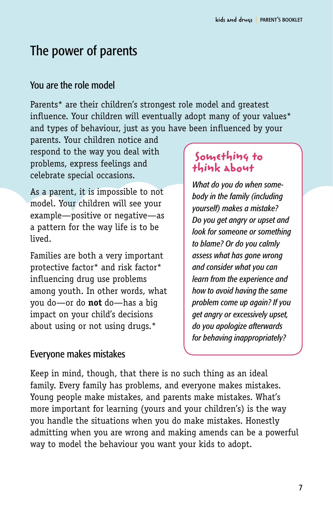# The power of parents

### You are the role model

Parents\* are their children's strongest role model and greatest influence. Your children will eventually adopt many of your values\* and types of behaviour, just as you have been influenced by your

parents. Your children notice and respond to the way you deal with problems, express feelings and celebrate special occasions.

As a parent, it is impossible to not model. Your children will see your example—positive or negative—as a pattern for the way life is to be lived.

Families are both a very important protective factor\* and risk factor\* influencing drug use problems among youth. In other words, what you do—or do **not** do—has a big impact on your child's decisions about using or not using drugs.\*

## **Something to think about**

*What do you do when somebody in the family (including yourself) makes a mistake? Do you get angry or upset and look for someone or something to blame? Or do you calmly assess what has gone wrong and consider what you can learn from the experience and how to avoid having the same problem come up again? If you get angry or excessively upset, do you apologize afterwards for behaving inappropriately?*

## Everyone makes mistakes

Keep in mind, though, that there is no such thing as an ideal family. Every family has problems, and everyone makes mistakes. Young people make mistakes, and parents make mistakes. What's more important for learning (yours and your children's) is the way you handle the situations when you do make mistakes. Honestly admitting when you are wrong and making amends can be a powerful way to model the behaviour you want your kids to adopt.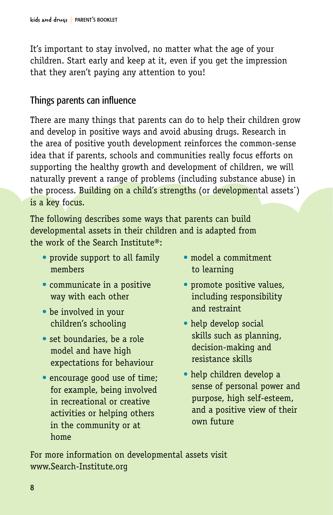It's important to stay involved, no matter what the age of your children. Start early and keep at it, even if you get the impression that they aren't paying any attention to you!

### Things parents can influence

There are many things that parents can do to help their children grow and develop in positive ways and avoid abusing drugs. Research in the area of positive youth development reinforces the common-sense idea that if parents, schools and communities really focus efforts on supporting the healthy growth and development of children, we will naturally prevent a range of problems (including substance abuse) in the process. Building on a child's strengths (or developmental assets\*) is a key focus.

The following describes some ways that parents can build developmental assets in their children and is adapted from the work of the Search Institute®:

- provide support to all family members
- communicate in a positive way with each other
- be involved in your children's schooling
- set boundaries, be a role model and have high expectations for behaviour
- encourage good use of time; for example, being involved in recreational or creative activities or helping others in the community or at home
- model a commitment to learning
- promote positive values, including responsibility and restraint
- help develop social skills such as planning, decision-making and resistance skills
- help children develop a sense of personal power and purpose, high self-esteem, and a positive view of their own future

For more information on developmental assets visit www.Search-Institute.org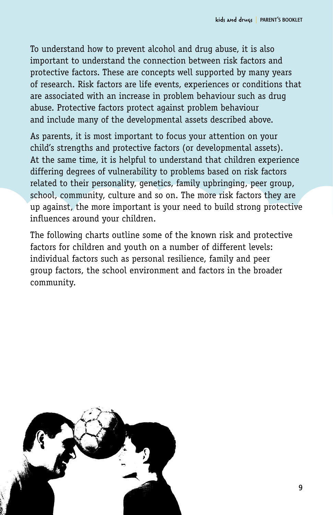To understand how to prevent alcohol and drug abuse, it is also important to understand the connection between risk factors and protective factors. These are concepts well supported by many years of research. Risk factors are life events, experiences or conditions that are associated with an increase in problem behaviour such as drug abuse. Protective factors protect against problem behaviour and include many of the developmental assets described above.

As parents, it is most important to focus your attention on your child's strengths and protective factors (or developmental assets). At the same time, it is helpful to understand that children experience differing degrees of vulnerability to problems based on risk factors related to their personality, genetics, family upbringing, peer group, school, community, culture and so on. The more risk factors they are up against, the more important is your need to build strong protective influences around your children.

The following charts outline some of the known risk and protective factors for children and youth on a number of different levels: individual factors such as personal resilience, family and peer group factors, the school environment and factors in the broader community.

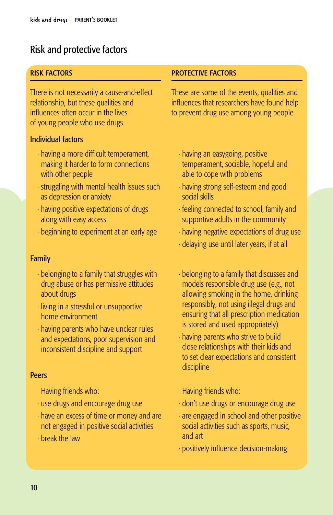## Risk and protective factors

#### risk factors

There is not necessarily a cause-and-effect relationship, but these qualities and influences often occur in the lives of young people who use drugs.

#### Individual factors

- · having a more difficult temperament, making it harder to form connections with other people
- · struggling with mental health issues such as depression or anxiety
- · having positive expectations of drugs along with easy access
- · beginning to experiment at an early age

#### Family

- · belonging to a family that struggles with drug abuse or has permissive attitudes about drugs
- · living in a stressful or unsupportive home environment
- · having parents who have unclear rules and expectations, poor supervision and inconsistent discipline and support

#### Peers

Having friends who:

- · use drugs and encourage drug use
- · have an excess of time or money and are not engaged in positive social activities
- · break the law

#### protective factors

These are some of the events, qualities and influences that researchers have found help to prevent drug use among young people.

- · having an easygoing, positive temperament, sociable, hopeful and able to cope with problems
- · having strong self-esteem and good social skills
- · feeling connected to school, family and supportive adults in the community
- · having negative expectations of drug use
- · delaying use until later years, if at all
- · belonging to a family that discusses and models responsible drug use (e.g., not allowing smoking in the home, drinking responsibly, not using illegal drugs and ensuring that all prescription medication is stored and used appropriately)
- · having parents who strive to build close relationships with their kids and to set clear expectations and consistent discipline

Having friends who:

- · don't use drugs or encourage drug use
- · are engaged in school and other positive social activities such as sports, music, and art
- · positively influence decision-making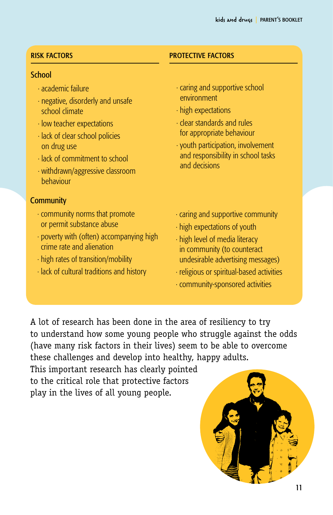#### risk factors

#### School

- · academic failure
- · negative, disorderly and unsafe school climate
- · low teacher expectations
- · lack of clear school policies on drug use
- · lack of commitment to school
- · withdrawn/aggressive classroom behaviour

#### **Community**

- · community norms that promote or permit substance abuse
- · poverty with (often) accompanying high crime rate and alienation
- · high rates of transition/mobility
- · lack of cultural traditions and history

#### protective factors

- · caring and supportive school environment
- · high expectations
- · clear standards and rules for appropriate behaviour
- · youth participation, involvement and responsibility in school tasks and decisions
- · caring and supportive community
- · high expectations of youth
- · high level of media literacy in community (to counteract undesirable advertising messages)
- · religious or spiritual-based activities
- · community-sponsored activities

A lot of research has been done in the area of resiliency to try to understand how some young people who struggle against the odds (have many risk factors in their lives) seem to be able to overcome these challenges and develop into healthy, happy adults.

This important research has clearly pointed to the critical role that protective factors play in the lives of all young people.

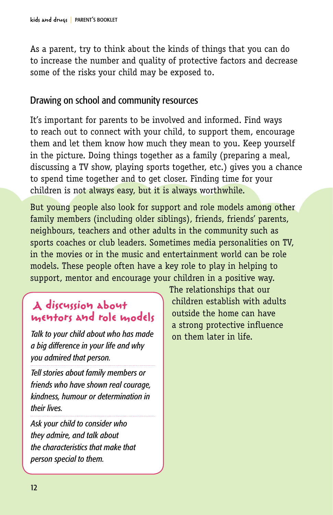As a parent, try to think about the kinds of things that you can do to increase the number and quality of protective factors and decrease some of the risks your child may be exposed to.

### Drawing on school and community resources

It's important for parents to be involved and informed. Find ways to reach out to connect with your child, to support them, encourage them and let them know how much they mean to you. Keep yourself in the picture. Doing things together as a family (preparing a meal, discussing a TV show, playing sports together, etc.) gives you a chance to spend time together and to get closer. Finding time for your children is not always easy, but it is always worthwhile.

But young people also look for support and role models among other family members (including older siblings), friends, friends' parents, neighbours, teachers and other adults in the community such as sports coaches or club leaders. Sometimes media personalities on TV, in the movies or in the music and entertainment world can be role models. These people often have a key role to play in helping to support, mentor and encourage your children in a positive way.

# **A discussion about mentors and role models**

*Talk to your child about who has made a big difference in your life and why you admired that person.* 

*Tell stories about family members or friends who have shown real courage, kindness, humour or determination in their lives.*

*Ask your child to consider who they admire, and talk about the characteristics that make that person special to them.* 

The relationships that our children establish with adults outside the home can have a strong protective influence on them later in life.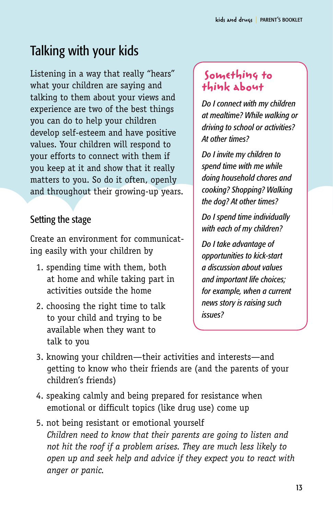# Talking with your kids

Listening in a way that really "hears" what your children are saying and talking to them about your views and experience are two of the best things you can do to help your children develop self-esteem and have positive values. Your children will respond to your efforts to connect with them if you keep at it and show that it really matters to you. So do it often, openly and throughout their growing-up years.

# Setting the stage

Create an environment for communicating easily with your children by

- 1. spending time with them, both at home and while taking part in activities outside the home
- 2. choosing the right time to talk to your child and trying to be available when they want to talk to you

# **Something to think about**

*Do I connect with my children at mealtime? While walking or driving to school or activities? At other times?*

*Do I invite my children to spend time with me while doing household chores and cooking? Shopping? Walking the dog? At other times?* 

*Do I spend time individually with each of my children?*

*Do I take advantage of opportunities to kick-start a discussion about values and important life choices; for example, when a current news story is raising such issues?*

- 3. knowing your children—their activities and interests—and getting to know who their friends are (and the parents of your children's friends)
- 4. speaking calmly and being prepared for resistance when emotional or difficult topics (like drug use) come up
- 5. not being resistant or emotional yourself *Children need to know that their parents are going to listen and not hit the roof if a problem arises. They are much less likely to open up and seek help and advice if they expect you to react with anger or panic.*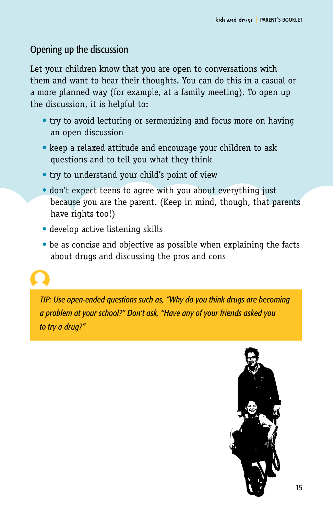# Opening up the discussion

Let your children know that you are open to conversations with them and want to hear their thoughts. You can do this in a casual or a more planned way (for example, at a family meeting). To open up the discussion, it is helpful to:

- try to avoid lecturing or sermonizing and focus more on having an open discussion
- keep a relaxed attitude and encourage your children to ask questions and to tell you what they think
- try to understand your child's point of view
- don't expect teens to agree with you about everything just because you are the parent. (Keep in mind, though, that parents have rights too!)
- develop active listening skills
- be as concise and objective as possible when explaining the facts about drugs and discussing the pros and cons



*TIP: Use open-ended questions such as, "Why do you think drugs are becoming a problem at your school?" Don't ask, "Have any of your friends asked you to try a drug?"*

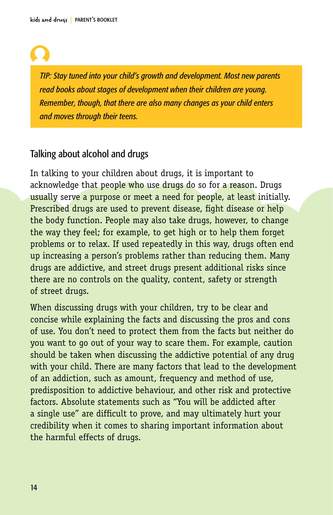*TIP: Stay tuned into your child's growth and development. Most new parents read books about stages of development when their children are young. Remember, though, that there are also many changes as your child enters and moves through their teens.*

### Talking about alcohol and drugs

In talking to your children about drugs, it is important to acknowledge that people who use drugs do so for a reason. Drugs usually serve a purpose or meet a need for people, at least initially. Prescribed drugs are used to prevent disease, fight disease or help the body function. People may also take drugs, however, to change the way they feel; for example, to get high or to help them forget problems or to relax. If used repeatedly in this way, drugs often end up increasing a person's problems rather than reducing them. Many drugs are addictive, and street drugs present additional risks since there are no controls on the quality, content, safety or strength of street drugs.

When discussing drugs with your children, try to be clear and concise while explaining the facts and discussing the pros and cons of use. You don't need to protect them from the facts but neither do you want to go out of your way to scare them. For example, caution should be taken when discussing the addictive potential of any drug with your child. There are many factors that lead to the development of an addiction, such as amount, frequency and method of use, predisposition to addictive behaviour, and other risk and protective factors. Absolute statements such as "You will be addicted after a single use" are difficult to prove, and may ultimately hurt your credibility when it comes to sharing important information about the harmful effects of drugs.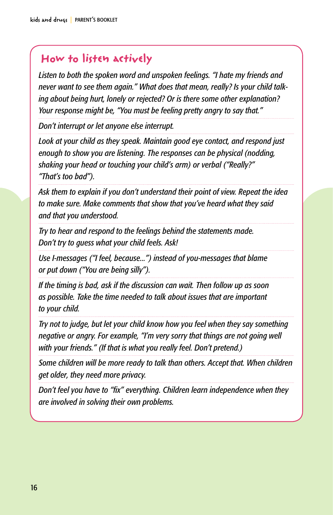# **How to listen actively**

*Listen to both the spoken word and unspoken feelings. "I hate my friends and never want to see them again." What does that mean, really? Is your child talking about being hurt, lonely or rejected? Or is there some other explanation? Your response might be, "You must be feeling pretty angry to say that."*

*Don't interrupt or let anyone else interrupt.* 

*Look at your child as they speak. Maintain good eye contact, and respond just enough to show you are listening. The responses can be physical (nodding, shaking your head or touching your child's arm) or verbal ("Really?" "That's too bad").*

*Ask them to explain if you don't understand their point of view. Repeat the idea to make sure. Make comments that show that you've heard what they said and that you understood.*

*Try to hear and respond to the feelings behind the statements made. Don't try to guess what your child feels. Ask!* 

*Use I-messages ("I feel, because...") instead of you-messages that blame or put down ("You are being silly").*

*If the timing is bad, ask if the discussion can wait. Then follow up as soon as possible. Take the time needed to talk about issues that are important to your child.*

*Try not to judge, but let your child know how you feel when they say something negative or angry. For example, "I'm very sorry that things are not going well with your friends." (If that is what you really feel. Don't pretend.)*

*Some children will be more ready to talk than others. Accept that. When children get older, they need more privacy.*

*Don't feel you have to "fix" everything. Children learn independence when they are involved in solving their own problems.*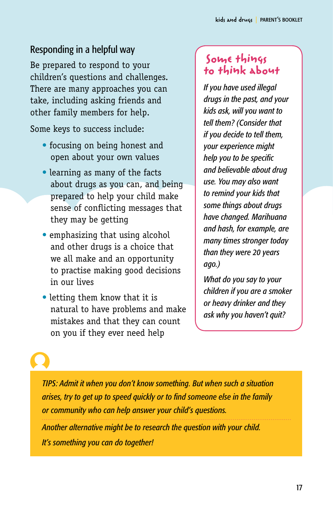# Responding in a helpful way

Be prepared to respond to your children's questions and challenges. There are many approaches you can take, including asking friends and other family members for help.

Some keys to success include:

- focusing on being honest and open about your own values
- learning as many of the facts about drugs as you can, and being prepared to help your child make sense of conflicting messages that they may be getting
- emphasizing that using alcohol and other drugs is a choice that we all make and an opportunity to practise making good decisions in our lives
- letting them know that it is natural to have problems and make mistakes and that they can count on you if they ever need help

# **Some things to think about**

*If you have used illegal drugs in the past, and your kids ask, will you want to tell them? (Consider that if you decide to tell them, your experience might help you to be specific and believable about drug use. You may also want to remind your kids that some things about drugs have changed. Marihuana and hash, for example, are many times stronger today than they were 20 years ago.)*

*What do you say to your children if you are a smoker or heavy drinker and they ask why you haven't quit?*

*TIPS: Admit it when you don't know something. But when such a situation arises, try to get up to speed quickly or to find someone else in the family or community who can help answer your child's questions.* 

*Another alternative might be to research the question with your child. It's something you can do together!*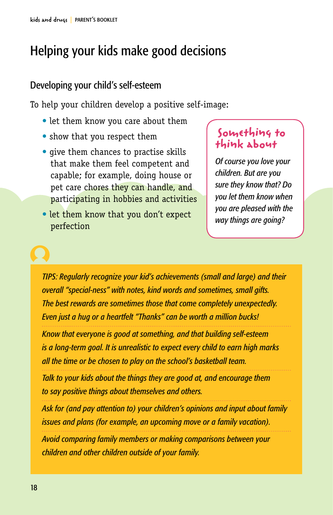# Helping your kids make good decisions

## Developing your child's self-esteem

To help your children develop a positive self-image:

- let them know you care about them
- show that you respect them
- give them chances to practise skills that make them feel competent and capable; for example, doing house or pet care chores they can handle, and participating in hobbies and activities
- let them know that you don't expect perfection

# **Something to think about**

*Of course you love your children. But are you sure they know that? Do you let them know when you are pleased with the way things are going?* 

*TIPS: Regularly recognize your kid's achievements (small and large) and their overall "special-ness" with notes, kind words and sometimes, small gifts. The best rewards are sometimes those that come completely unexpectedly. Even just a hug or a heartfelt "Thanks" can be worth a million bucks!* 

*Know that everyone is good at something, and that building self-esteem is a long-term goal. It is unrealistic to expect every child to earn high marks all the time or be chosen to play on the school's basketball team.*

*Talk to your kids about the things they are good at, and encourage them to say positive things about themselves and others.*

*Ask for (and pay attention to) your children's opinions and input about family issues and plans (for example, an upcoming move or a family vacation).* 

*Avoid comparing family members or making comparisons between your children and other children outside of your family.*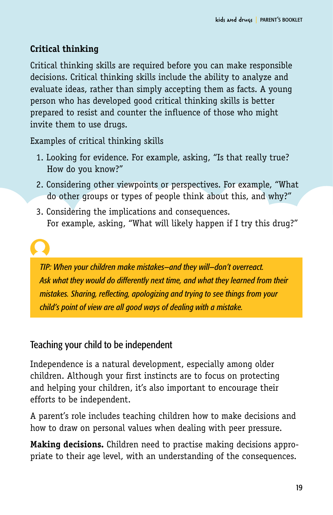# **Critical thinking**

Critical thinking skills are required before you can make responsible decisions. Critical thinking skills include the ability to analyze and evaluate ideas, rather than simply accepting them as facts. A young person who has developed good critical thinking skills is better prepared to resist and counter the influence of those who might invite them to use drugs.

Examples of critical thinking skills

- 1. Looking for evidence. For example, asking, "Is that really true? How do you know?"
- 2. Considering other viewpoints or perspectives. For example, "What do other groups or types of people think about this, and why?"
- 3. Considering the implications and consequences. For example, asking, "What will likely happen if I try this drug?"

*TIP: When your children make mistakes—and they will—don't overreact. Ask what they would do differently next time, and what they learned from their mistakes. Sharing, reflecting, apologizing and trying to see things from your child's point of view are all good ways of dealing with a mistake.*

# Teaching your child to be independent

Independence is a natural development, especially among older children. Although your first instincts are to focus on protecting and helping your children, it's also important to encourage their efforts to be independent.

A parent's role includes teaching children how to make decisions and how to draw on personal values when dealing with peer pressure.

**Making decisions.** Children need to practise making decisions appropriate to their age level, with an understanding of the consequences.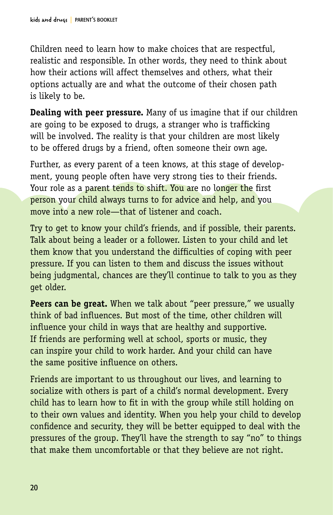Children need to learn how to make choices that are respectful, realistic and responsible. In other words, they need to think about how their actions will affect themselves and others, what their options actually are and what the outcome of their chosen path is likely to be.

**Dealing with peer pressure.** Many of us imagine that if our children are going to be exposed to drugs, a stranger who is trafficking will be involved. The reality is that your children are most likely to be offered drugs by a friend, often someone their own age.

Further, as every parent of a teen knows, at this stage of development, young people often have very strong ties to their friends. Your role as a parent tends to shift. You are no longer the first person your child always turns to for advice and help, and you move into a new role—that of listener and coach.

Try to get to know your child's friends, and if possible, their parents. Talk about being a leader or a follower. Listen to your child and let them know that you understand the difficulties of coping with peer pressure. If you can listen to them and discuss the issues without being judgmental, chances are they'll continue to talk to you as they get older.

**Peers can be great.** When we talk about "peer pressure," we usually think of bad influences. But most of the time, other children will influence your child in ways that are healthy and supportive. If friends are performing well at school, sports or music, they can inspire your child to work harder. And your child can have the same positive influence on others.

Friends are important to us throughout our lives, and learning to socialize with others is part of a child's normal development. Every child has to learn how to fit in with the group while still holding on to their own values and identity. When you help your child to develop confidence and security, they will be better equipped to deal with the pressures of the group. They'll have the strength to say "no" to things that make them uncomfortable or that they believe are not right.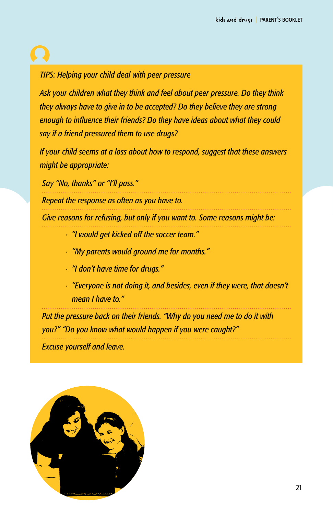# *TIPS: Helping your child deal with peer pressure*

*Ask your children what they think and feel about peer pressure. Do they think they always have to give in to be accepted? Do they believe they are strong enough to influence their friends? Do they have ideas about what they could say if a friend pressured them to use drugs?*

*If your child seems at a loss about how to respond, suggest that these answers might be appropriate:*

*Say "No, thanks" or "I'll pass."*

*Repeat the response as often as you have to.* 

*Give reasons for refusing, but only if you want to. Some reasons might be:*

- *· "I would get kicked off the soccer team."*
- *· "My parents would ground me for months."*
- *· "I don't have time for drugs."*
- *· "Everyone is not doing it, and besides, even if they were, that doesn't mean I have to."*

*Put the pressure back on their friends. "Why do you need me to do it with you?" "Do you know what would happen if you were caught?"*

*Excuse yourself and leave.*

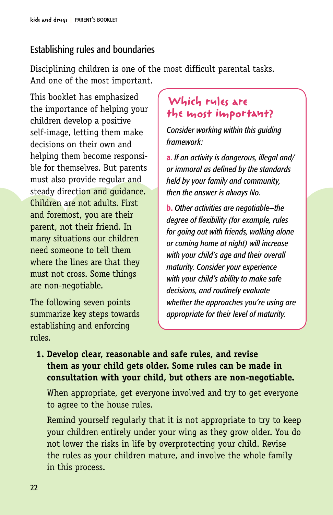## Establishing rules and boundaries

Disciplining children is one of the most difficult parental tasks. And one of the most important.

This booklet has emphasized the importance of helping your children develop a positive self-image, letting them make decisions on their own and helping them become responsible for themselves. But parents must also provide regular and steady direction and quidance. Children are not adults. First and foremost, you are their parent, not their friend. In many situations our children need someone to tell them where the lines are that they must not cross. Some things are non-negotiable.

The following seven points summarize key steps towards establishing and enforcing rules.

# **Which rules are the most important?**

*Consider working within this guiding framework:*

a. *If an activity is dangerous, illegal and/ or immoral as defined by the standards held by your family and community, then the answer is always No.*

b. *Other activities are negotiable—the degree of flexibility (for example, rules for going out with friends, walking alone or coming home at night) will increase with your child's age and their overall maturity. Consider your experience with your child's ability to make safe decisions, and routinely evaluate whether the approaches you're using are appropriate for their level of maturity.*

## **1. Develop clear, reasonable and safe rules, and revise them as your child gets older. Some rules can be made in consultation with your child, but others are non-negotiable.**

When appropriate, get everyone involved and try to get everyone to agree to the house rules.

Remind yourself regularly that it is not appropriate to try to keep your children entirely under your wing as they grow older. You do not lower the risks in life by overprotecting your child. Revise the rules as your children mature, and involve the whole family in this process.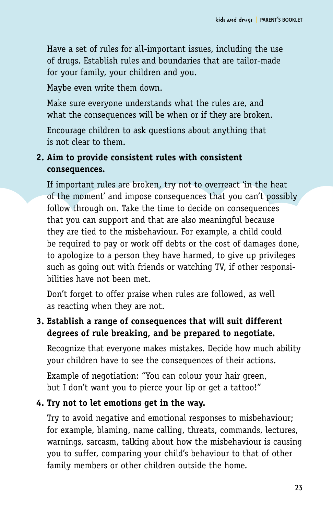Have a set of rules for all-important issues, including the use of drugs. Establish rules and boundaries that are tailor-made for your family, your children and you.

Maybe even write them down.

Make sure everyone understands what the rules are, and what the consequences will be when or if they are broken.

Encourage children to ask questions about anything that is not clear to them.

## **2. Aim to provide consistent rules with consistent consequences.**

If important rules are broken, try not to overreact 'in the heat of the moment' and impose consequences that you can't possibly follow through on. Take the time to decide on consequences that you can support and that are also meaningful because they are tied to the misbehaviour. For example, a child could be required to pay or work off debts or the cost of damages done, to apologize to a person they have harmed, to give up privileges such as going out with friends or watching TV, if other responsibilities have not been met.

Don't forget to offer praise when rules are followed, as well as reacting when they are not.

# **3. Establish a range of consequences that will suit different degrees of rule breaking, and be prepared to negotiate.**

Recognize that everyone makes mistakes. Decide how much ability your children have to see the consequences of their actions.

Example of negotiation: "You can colour your hair green, but I don't want you to pierce your lip or get a tattoo!"

## **4. Try not to let emotions get in the way.**

Try to avoid negative and emotional responses to misbehaviour; for example, blaming, name calling, threats, commands, lectures, warnings, sarcasm, talking about how the misbehaviour is causing you to suffer, comparing your child's behaviour to that of other family members or other children outside the home.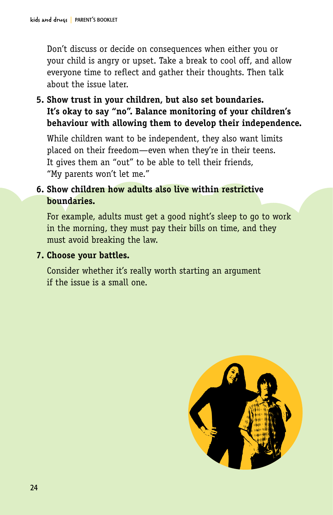Don't discuss or decide on consequences when either you or your child is angry or upset. Take a break to cool off, and allow everyone time to reflect and gather their thoughts. Then talk about the issue later.

**5. Show trust in your children, but also set boundaries. It's okay to say "no". Balance monitoring of your children's behaviour with allowing them to develop their independence.**

While children want to be independent, they also want limits placed on their freedom—even when they're in their teens. It gives them an "out" to be able to tell their friends, "My parents won't let me."

### **6. Show children how adults also live within restrictive boundaries.**

For example, adults must get a good night's sleep to go to work in the morning, they must pay their bills on time, and they must avoid breaking the law.

### **7. Choose your battles.**

Consider whether it's really worth starting an argument if the issue is a small one.

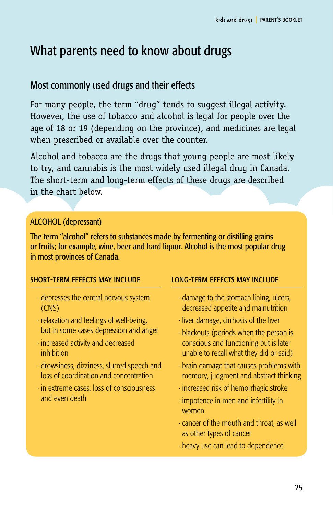# What parents need to know about drugs

## Most commonly used drugs and their effects

For many people, the term "drug" tends to suggest illegal activity. However, the use of tobacco and alcohol is legal for people over the age of 18 or 19 (depending on the province), and medicines are legal when prescribed or available over the counter.

Alcohol and tobacco are the drugs that young people are most likely to try, and cannabis is the most widely used illegal drug in Canada. The short-term and long-term effects of these drugs are described in the chart below.

### Alcohol (depressant)

The term "alcohol" refers to substances made by fermenting or distilling grains or fruits; for example, wine, beer and hard liquor. Alcohol is the most popular drug in most provinces of Canada.

#### short-term effects may include

- · depresses the central nervous system (CNS)
- · relaxation and feelings of well-being, but in some cases depression and anger
- · increased activity and decreased inhibition
- · drowsiness, dizziness, slurred speech and loss of coordination and concentration
- · in extreme cases, loss of consciousness and even death

- · damage to the stomach lining, ulcers, decreased appetite and malnutrition
- · liver damage, cirrhosis of the liver
- · blackouts (periods when the person is conscious and functioning but is later unable to recall what they did or said)
- · brain damage that causes problems with memory, judgment and abstract thinking
- · increased risk of hemorrhagic stroke
- · impotence in men and infertility in women
- · cancer of the mouth and throat, as well as other types of cancer
- · heavy use can lead to dependence.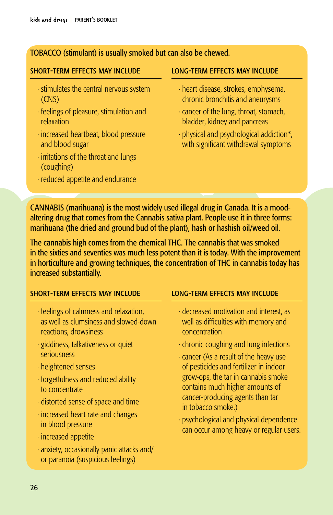#### Tobacco (stimulant) is usually smoked but can also be chewed.

#### short-term effects may include

- · stimulates the central nervous system (CNS)
- · feelings of pleasure, stimulation and relaxation
- · increased heartbeat, blood pressure and blood sugar
- · irritations of the throat and lungs (coughing)
- · reduced appetite and endurance

#### long-term effects may include

- · heart disease, strokes, emphysema, chronic bronchitis and aneurysms
- · cancer of the lung, throat, stomach, bladder, kidney and pancreas
- · physical and psychological addiction\*, with significant withdrawal symptoms

Cannabis (marihuana) is the most widely used illegal drug in Canada. It is a moodaltering drug that comes from the Cannabis sativa plant. People use it in three forms: marihuana (the dried and ground bud of the plant), hash or hashish oil/weed oil.

The cannabis high comes from the chemical THC. The cannabis that was smoked in the sixties and seventies was much less potent than it is today. With the improvement in horticulture and growing techniques, the concentration of THC in cannabis today has increased substantially.

#### short-term effects may include

- · feelings of calmness and relaxation, as well as clumsiness and slowed-down reactions, drowsiness
- · giddiness, talkativeness or quiet seriousness
- · heightened senses
- · forgetfulness and reduced ability to concentrate
- · distorted sense of space and time
- · increased heart rate and changes in blood pressure
- · increased appetite
- · anxiety, occasionally panic attacks and/ or paranoia (suspicious feelings)

- · decreased motivation and interest, as well as difficulties with memory and concentration
- · chronic coughing and lung infections
- · cancer (As a result of the heavy use of pesticides and fertilizer in indoor grow-ops, the tar in cannabis smoke contains much higher amounts of cancer-producing agents than tar in tobacco smoke.)
- · psychological and physical dependence can occur among heavy or regular users.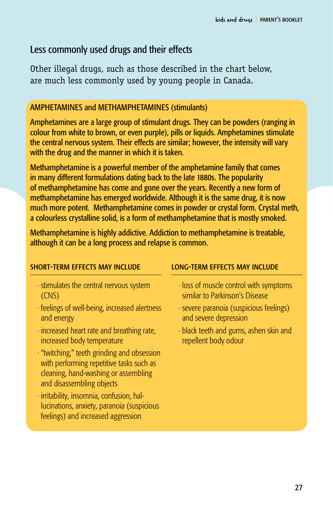## Less commonly used drugs and their effects

Other illegal drugs, such as those described in the chart below, are much less commonly used by young people in Canada.

#### Amphetamines and methamphetamines (stimulants)

Amphetamines are a large group of stimulant drugs. They can be powders (ranging in colour from white to brown, or even purple), pills or liquids. Amphetamines stimulate the central nervous system. Their effects are similar; however, the intensity will vary with the drug and the manner in which it is taken.

Methamphetamine is a powerful member of the amphetamine family that comes in many different formulations dating back to the late 1880s. The popularity of methamphetamine has come and gone over the years. Recently a new form of methamphetamine has emerged worldwide. Although it is the same drug, it is now much more potent. Methamphetamine comes in powder or crystal form. Crystal meth, a colourless crystalline solid, is a form of methamphetamine that is mostly smoked.

Methamphetamine is highly addictive. Addiction to methamphetamine is treatable, although it can be a long process and relapse is common.

#### short-term effects may include

- · stimulates the central nervous system (CNS)
- · feelings of well-being, increased alertness and energy
- · increased heart rate and breathing rate, increased body temperature
- · "twitching," teeth grinding and obsession with performing repetitive tasks such as cleaning, hand-washing or assembling and disassembling objects
- · irritability, insomnia, confusion, hallucinations, anxiety, paranoia (suspicious feelings) and increased aggression

- · loss of muscle control with symptoms similar to Parkinson's Disease
- · severe paranoia (suspicious feelings) and severe depression
- · black teeth and gums, ashen skin and repellent body odour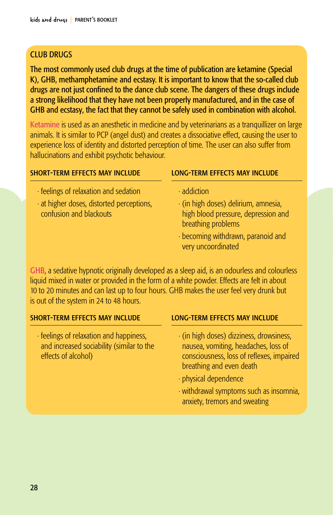#### **CLUB DRUGS**

The most commonly used club drugs at the time of publication are ketamine (Special K), GHB, methamphetamine and ecstasy. It is important to know that the so-called club drugs are not just confined to the dance club scene. The dangers of these drugs include a strong likelihood that they have not been properly manufactured, and in the case of GHB and ecstasy, the fact that they cannot be safely used in combination with alcohol.

Ketamine is used as an anesthetic in medicine and by veterinarians as a tranquillizer on large animals. It is similar to PCP (angel dust) and creates a dissociative effect, causing the user to experience loss of identity and distorted perception of time. The user can also suffer from hallucinations and exhibit psychotic behaviour.

| <b>SHORT-TERM EFFECTS MAY INCLUDE</b>   | <b>LONG-TERM EFFECTS MAY INCLUDE</b> |  |
|-----------------------------------------|--------------------------------------|--|
| · feelings of relaxation and sedation   | $\cdot$ addiction                    |  |
| at higher doses, distorted perceptions, | · (in high doses) delirium, amnesia, |  |
| confusion and blackouts                 | high blood pressure, depression and  |  |

GHB, a sedative hypnotic originally developed as a sleep aid, is an odourless and colourless liquid mixed in water or provided in the form of a white powder. Effects are felt in about 10 to 20 minutes and can last up to four hours. GHB makes the user feel very drunk but is out of the system in 24 to 48 hours.

#### short-term effects may include

· feelings of relaxation and happiness, and increased sociability (similar to the effects of alcohol)

#### long-term effects may include

- · (in high doses) dizziness, drowsiness, nausea, vomiting, headaches, loss of consciousness, loss of reflexes, impaired breathing and even death
- · physical dependence

breathing problems

very uncoordinated

· becoming withdrawn, paranoid and

· withdrawal symptoms such as insomnia, anxiety, tremors and sweating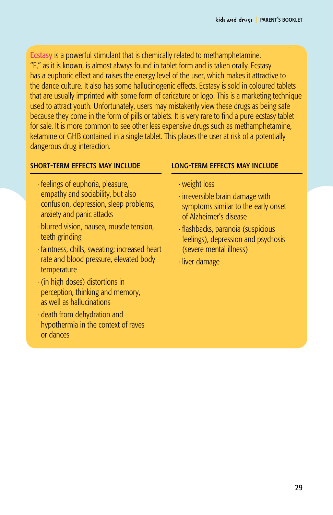Ecstasy is a powerful stimulant that is chemically related to methamphetamine. "E," as it is known, is almost always found in tablet form and is taken orally. Ecstasy has a euphoric effect and raises the energy level of the user, which makes it attractive to the dance culture. It also has some hallucinogenic effects. Ecstasy is sold in coloured tablets that are usually imprinted with some form of caricature or logo. This is a marketing technique used to attract youth. Unfortunately, users may mistakenly view these drugs as being safe because they come in the form of pills or tablets. It is very rare to find a pure ecstasy tablet for sale. It is more common to see other less expensive drugs such as methamphetamine, ketamine or GHB contained in a single tablet. This places the user at risk of a potentially dangerous drug interaction.

#### short-term effects may include

- · feelings of euphoria, pleasure, empathy and sociability, but also confusion, depression, sleep problems, anxiety and panic attacks
- · blurred vision, nausea, muscle tension, teeth grinding
- · faintness, chills, sweating; increased heart rate and blood pressure, elevated body temperature
- · (in high doses) distortions in perception, thinking and memory, as well as hallucinations
- · death from dehydration and hypothermia in the context of raves or dances

- · weight loss
- · irreversible brain damage with symptoms similar to the early onset of Alzheimer's disease
- · flashbacks, paranoia (suspicious feelings), depression and psychosis (severe mental illness)
- · liver damage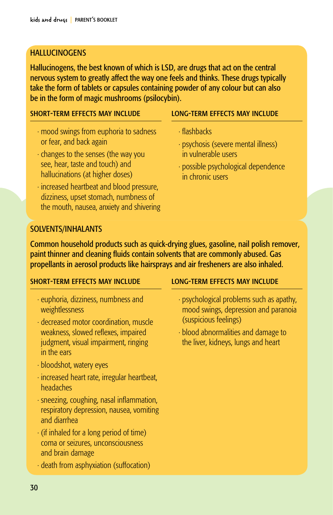#### **HALLUCINOGENS**

Hallucinogens, the best known of which is LSD, are drugs that act on the central nervous system to greatly affect the way one feels and thinks. These drugs typically take the form of tablets or capsules containing powder of any colour but can also be in the form of magic mushrooms (psilocybin).

#### short-term effects may include

- · mood swings from euphoria to sadness or fear, and back again
- · changes to the senses (the way you see, hear, taste and touch) and hallucinations (at higher doses)
- · increased heartbeat and blood pressure, dizziness, upset stomach, numbness of the mouth, nausea, anxiety and shivering

#### long-term effects may include

- · flashbacks
- · psychosis (severe mental illness) in vulnerable users
- · possible psychological dependence in chronic users

#### SOLVENTS/INHALANTS

Common household products such as quick-drying glues, gasoline, nail polish remover, paint thinner and cleaning fluids contain solvents that are commonly abused. Gas propellants in aerosol products like hairsprays and air fresheners are also inhaled.

#### short-term effects may include

- · euphoria, dizziness, numbness and weightlessness
- · decreased motor coordination, muscle weakness, slowed reflexes, impaired judgment, visual impairment, ringing in the ears
- · bloodshot, watery eyes
- · increased heart rate, irregular heartbeat, headaches
- · sneezing, coughing, nasal inflammation, respiratory depression, nausea, vomiting and diarrhea
- · (if inhaled for a long period of time) coma or seizures, unconsciousness and brain damage
- · death from asphyxiation (suffocation)

- · psychological problems such as apathy, mood swings, depression and paranoia (suspicious feelings)
- · blood abnormalities and damage to the liver, kidneys, lungs and heart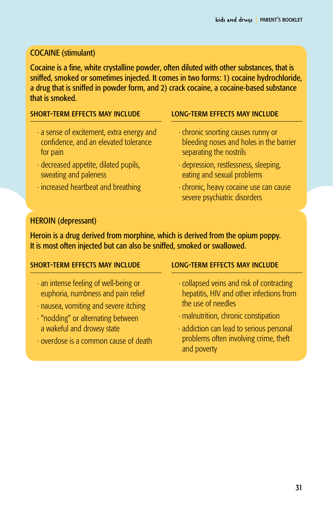### **COCAINE** (stimulant)

Cocaine is a fine, white crystalline powder, often diluted with other substances, that is sniffed, smoked or sometimes injected. It comes in two forms: 1) cocaine hydrochloride, a drug that is sniffed in powder form, and 2) crack cocaine, a cocaine-based substance that is smoked.

#### short-term effects may include

- · a sense of excitement, extra energy and confidence, and an elevated tolerance for pain
- · decreased appetite, dilated pupils, sweating and paleness
- · increased heartbeat and breathing

#### long-term effects may include

- · chronic snorting causes runny or bleeding noses and holes in the barrier separating the nostrils
- · depression, restlessness, sleeping, eating and sexual problems
- · chronic, heavy cocaine use can cause severe psychiatric disorders

#### HEROIN (depressant)

Heroin is a drug derived from morphine, which is derived from the opium poppy. It is most often injected but can also be sniffed, smoked or swallowed.

#### short-term effects may include

- · an intense feeling of well-being or euphoria, numbness and pain relief
- · nausea, vomiting and severe itching
- · "nodding" or alternating between a wakeful and drowsy state
- · overdose is a common cause of death

- · collapsed veins and risk of contracting hepatitis, HIV and other infections from the use of needles
- · malnutrition, chronic constipation
- · addiction can lead to serious personal problems often involving crime, theft and poverty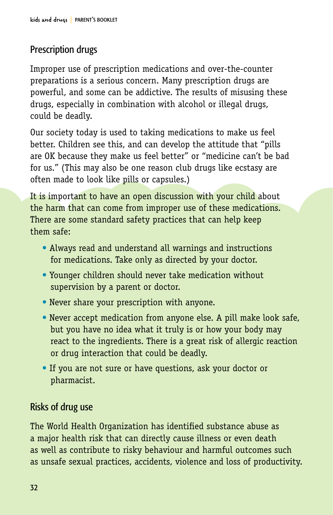# Prescription drugs

Improper use of prescription medications and over-the-counter preparations is a serious concern. Many prescription drugs are powerful, and some can be addictive. The results of misusing these drugs, especially in combination with alcohol or illegal drugs, could be deadly.

Our society today is used to taking medications to make us feel better. Children see this, and can develop the attitude that "pills are OK because they make us feel better" or "medicine can't be bad for us." (This may also be one reason club drugs like ecstasy are often made to look like pills or capsules.)

It is important to have an open discussion with your child about the harm that can come from improper use of these medications. There are some standard safety practices that can help keep them safe:

- Always read and understand all warnings and instructions for medications. Take only as directed by your doctor.
- Younger children should never take medication without supervision by a parent or doctor.
- Never share your prescription with anyone.
- Never accept medication from anyone else. A pill make look safe, but you have no idea what it truly is or how your body may react to the ingredients. There is a great risk of allergic reaction or drug interaction that could be deadly.
- If you are not sure or have questions, ask your doctor or pharmacist.

# Risks of drug use

The World Health Organization has identified substance abuse as a major health risk that can directly cause illness or even death as well as contribute to risky behaviour and harmful outcomes such as unsafe sexual practices, accidents, violence and loss of productivity.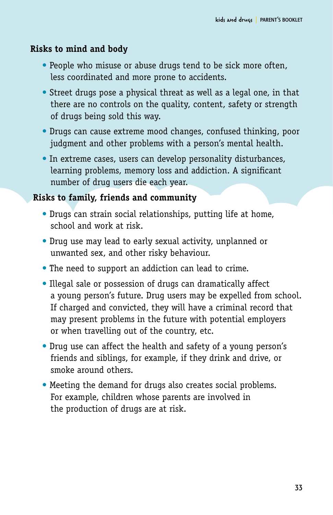### **Risks to mind and body**

- People who misuse or abuse drugs tend to be sick more often, less coordinated and more prone to accidents.
- Street drugs pose a physical threat as well as a legal one, in that there are no controls on the quality, content, safety or strength of drugs being sold this way.
- Drugs can cause extreme mood changes, confused thinking, poor judgment and other problems with a person's mental health.
- In extreme cases, users can develop personality disturbances, learning problems, memory loss and addiction. A significant number of drug users die each year.

### **Risks to family, friends and community**

- Drugs can strain social relationships, putting life at home, school and work at risk.
- Drug use may lead to early sexual activity, unplanned or unwanted sex, and other risky behaviour.
- The need to support an addiction can lead to crime.
- Illegal sale or possession of drugs can dramatically affect a young person's future. Drug users may be expelled from school. If charged and convicted, they will have a criminal record that may present problems in the future with potential employers or when travelling out of the country, etc.
- Drug use can affect the health and safety of a young person's friends and siblings, for example, if they drink and drive, or smoke around others.
- Meeting the demand for drugs also creates social problems. For example, children whose parents are involved in the production of drugs are at risk.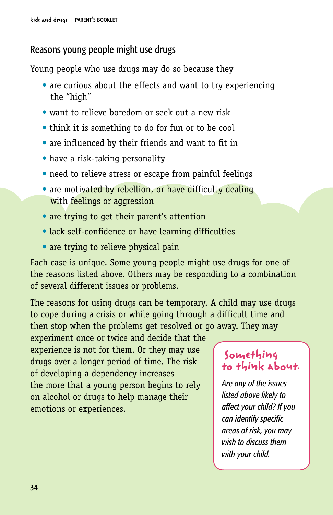# Reasons young people might use drugs

Young people who use drugs may do so because they

- are curious about the effects and want to try experiencing the "high"
- want to relieve boredom or seek out a new risk
- think it is something to do for fun or to be cool
- are influenced by their friends and want to fit in
- have a risk-taking personality
- need to relieve stress or escape from painful feelings
- are motivated by rebellion, or have difficulty dealing with feelings or aggression
- are trying to get their parent's attention
- lack self-confidence or have learning difficulties
- are trying to relieve physical pain

Each case is unique. Some young people might use drugs for one of the reasons listed above. Others may be responding to a combination of several different issues or problems.

The reasons for using drugs can be temporary. A child may use drugs to cope during a crisis or while going through a difficult time and then stop when the problems get resolved or go away. They may

experiment once or twice and decide that the experience is not for them. Or they may use drugs over a longer period of time. The risk of developing a dependency increases the more that a young person begins to rely on alcohol or drugs to help manage their emotions or experiences.

# **Something to think about.**

*Are any of the issues listed above likely to affect your child? If you can identify specific areas of risk, you may wish to discuss them with your child.*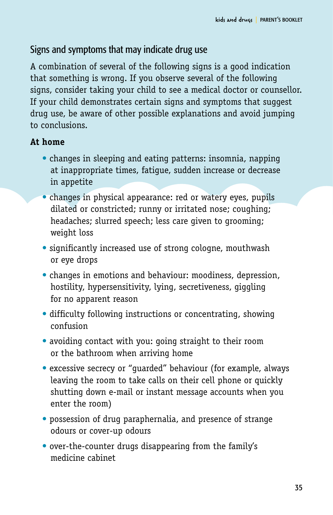## Signs and symptoms that may indicate drug use

A combination of several of the following signs is a good indication that something is wrong. If you observe several of the following signs, consider taking your child to see a medical doctor or counsellor. If your child demonstrates certain signs and symptoms that suggest drug use, be aware of other possible explanations and avoid jumping to conclusions.

### **At home**

- changes in sleeping and eating patterns: insomnia, napping at inappropriate times, fatigue, sudden increase or decrease in appetite
- changes in physical appearance: red or watery eyes, pupils dilated or constricted; runny or irritated nose; coughing; headaches; slurred speech; less care given to grooming; weight loss
- significantly increased use of strong cologne, mouthwash or eye drops
- changes in emotions and behaviour: moodiness, depression, hostility, hypersensitivity, lying, secretiveness, giggling for no apparent reason
- difficulty following instructions or concentrating, showing confusion
- avoiding contact with you: going straight to their room or the bathroom when arriving home
- excessive secrecy or "guarded" behaviour (for example, always leaving the room to take calls on their cell phone or quickly shutting down e-mail or instant message accounts when you enter the room)
- possession of drug paraphernalia, and presence of strange odours or cover-up odours
- over-the-counter drugs disappearing from the family's medicine cabinet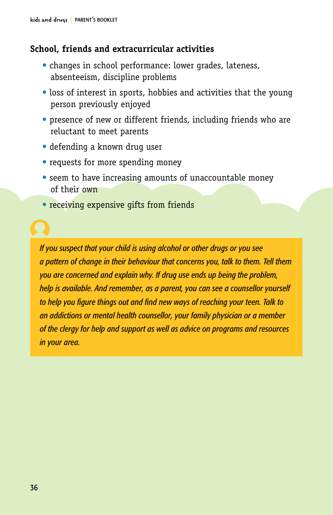### **School, friends and extracurricular activities**

- changes in school performance: lower grades, lateness, absenteeism, discipline problems
- loss of interest in sports, hobbies and activities that the young person previously enjoyed
- presence of new or different friends, including friends who are reluctant to meet parents
- defending a known drug user
- requests for more spending money
- seem to have increasing amounts of unaccountable money of their own
- receiving expensive gifts from friends

*If you suspect that your child is using alcohol or other drugs or you see a pattern of change in their behaviour that concerns you, talk to them. Tell them you are concerned and explain why. If drug use ends up being the problem, help is available. And remember, as a parent, you can see a counsellor yourself to help you figure things out and find new ways of reaching your teen. Talk to an addictions or mental health counsellor, your family physician or a member of the clergy for help and support as well as advice on programs and resources in your area.*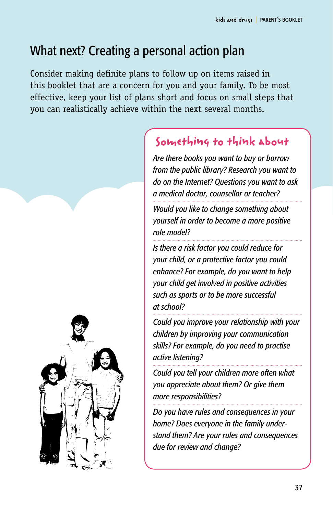# What next? Creating a personal action plan

Consider making definite plans to follow up on items raised in this booklet that are a concern for you and your family. To be most effective, keep your list of plans short and focus on small steps that you can realistically achieve within the next several months.

# **Something to think about**

*Are there books you want to buy or borrow from the public library? Research you want to do on the Internet? Questions you want to ask a medical doctor, counsellor or teacher?* 

*Would you like to change something about yourself in order to become a more positive role model?*

*Is there a risk factor you could reduce for your child, or a protective factor you could enhance? For example, do you want to help your child get involved in positive activities such as sports or to be more successful at school?*

*Could you improve your relationship with your children by improving your communication skills? For example, do you need to practise active listening?*

*Could you tell your children more often what you appreciate about them? Or give them more responsibilities?*

*Do you have rules and consequences in your home? Does everyone in the family understand them? Are your rules and consequences due for review and change?* 

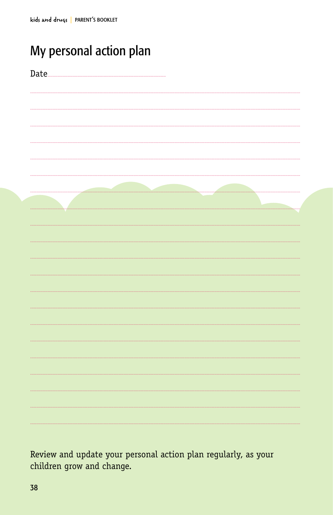# My personal action plan

| Date. |  |
|-------|--|
|       |  |
|       |  |
|       |  |
|       |  |
|       |  |
|       |  |
|       |  |
|       |  |
|       |  |
|       |  |
|       |  |
|       |  |
|       |  |
|       |  |
|       |  |
|       |  |
|       |  |

Review and update your personal action plan regularly, as your children grow and change.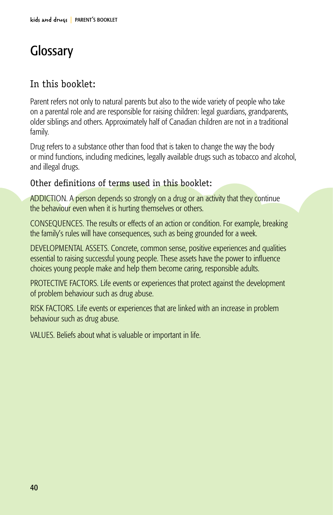# **Glossary**

# In this booklet:

Parent refers not only to natural parents but also to the wide variety of people who take on a parental role and are responsible for raising children: legal guardians, grandparents, older siblings and others. Approximately half of Canadian children are not in a traditional family.

Drug refers to a substance other than food that is taken to change the way the body or mind functions, including medicines, legally available drugs such as tobacco and alcohol, and illegal drugs.

## Other definitions of terms used in this booklet:

ADDICTION. A person depends so strongly on a drug or an activity that they continue the behaviour even when it is hurting themselves or others.

CONSEQUENCES. The results or effects of an action or condition. For example, breaking the family's rules will have consequences, such as being grounded for a week.

DEVELOPMENTAL ASSETS. Concrete, common sense, positive experiences and qualities essential to raising successful young people. These assets have the power to influence choices young people make and help them become caring, responsible adults.

PROTECTIVE FACTORS. Life events or experiences that protect against the development of problem behaviour such as drug abuse.

RISK FACTORS. Life events or experiences that are linked with an increase in problem behaviour such as drug abuse.

VALUES. Beliefs about what is valuable or important in life.